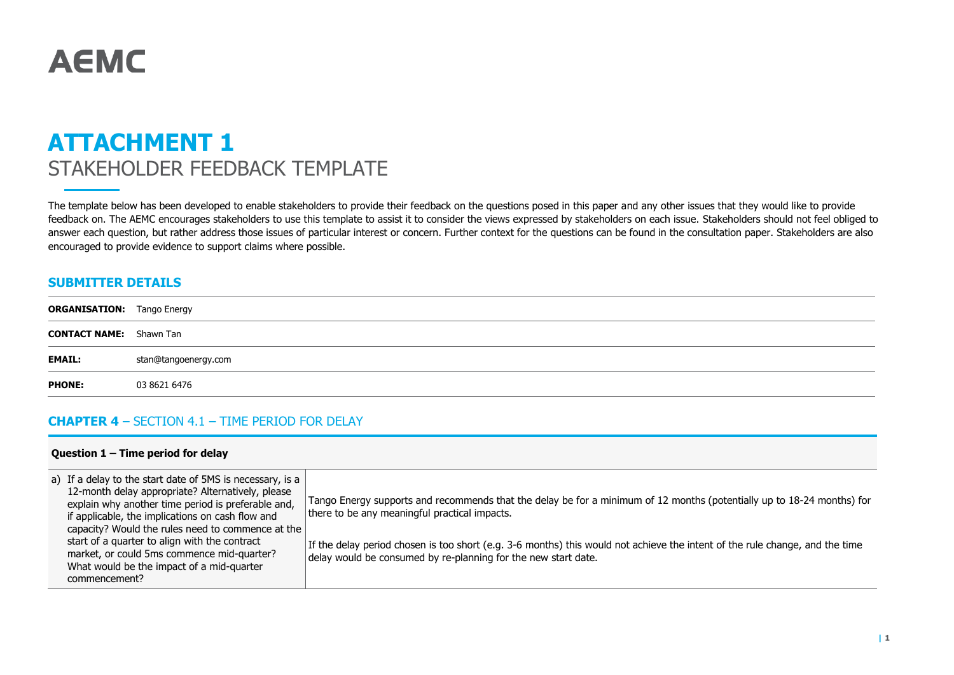# **AEMC**

# **ATTACHMENT 1** STAKEHOLDER FEEDBACK TEMPLATE

The template below has been developed to enable stakeholders to provide their feedback on the questions posed in this paper and any other issues that they would like to provide feedback on. The AEMC encourages stakeholders to use this template to assist it to consider the views expressed by stakeholders on each issue. Stakeholders should not feel obliged to answer each question, but rather address those issues of particular interest or concern. Further context for the questions can be found in the consultation paper. Stakeholders are also encouraged to provide evidence to support claims where possible.

### **SUBMITTER DETAILS**

| <b>ORGANISATION:</b> Tango Energy |                      |
|-----------------------------------|----------------------|
| <b>CONTACT NAME:</b> Shawn Tan    |                      |
| <b>EMAIL:</b>                     | stan@tangoenergy.com |
| <b>PHONE:</b>                     | 03 8621 6476         |

### **CHAPTER 4** – SECTION 4.1 – TIME PERIOD FOR DELAY

#### **Question 1 – Time period for delay**

| a) If a delay to the start date of 5MS is necessary, is a<br>12-month delay appropriate? Alternatively, please<br>explain why another time period is preferable and,<br>if applicable, the implications on cash flow and<br>capacity? Would the rules need to commence at the<br>start of a quarter to align with the contract<br>market, or could 5ms commence mid-quarter?<br>What would be the impact of a mid-quarter<br>commencement? | Tango Energy supports and recommends that the delay be for a minimum of 12 months (potentially up to 18-24 months) for<br>there to be any meaningful practical impacts.<br>If the delay period chosen is too short (e.g. 3-6 months) this would not achieve the intent of the rule change, and the time<br>delay would be consumed by re-planning for the new start date. |
|--------------------------------------------------------------------------------------------------------------------------------------------------------------------------------------------------------------------------------------------------------------------------------------------------------------------------------------------------------------------------------------------------------------------------------------------|---------------------------------------------------------------------------------------------------------------------------------------------------------------------------------------------------------------------------------------------------------------------------------------------------------------------------------------------------------------------------|
|--------------------------------------------------------------------------------------------------------------------------------------------------------------------------------------------------------------------------------------------------------------------------------------------------------------------------------------------------------------------------------------------------------------------------------------------|---------------------------------------------------------------------------------------------------------------------------------------------------------------------------------------------------------------------------------------------------------------------------------------------------------------------------------------------------------------------------|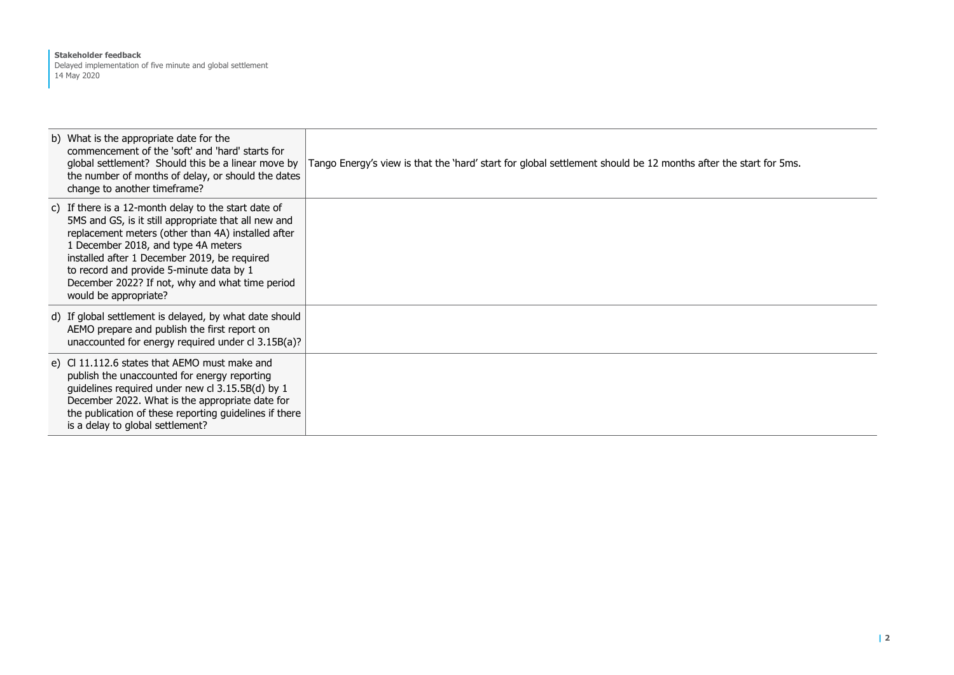#### **Stakeholder feedback** Delayed implementation of five minute and global settlement 14 May 2020

| b) What is the appropriate date for the<br>commencement of the 'soft' and 'hard' starts for<br>global settlement? Should this be a linear move by<br>the number of months of delay, or should the dates<br>change to another timeframe?                                                                                                                                           | Tango Energy's view is that the 'hard' start for global settlement should be 12 months after the start for 5ms. |
|-----------------------------------------------------------------------------------------------------------------------------------------------------------------------------------------------------------------------------------------------------------------------------------------------------------------------------------------------------------------------------------|-----------------------------------------------------------------------------------------------------------------|
| c) If there is a 12-month delay to the start date of<br>5MS and GS, is it still appropriate that all new and<br>replacement meters (other than 4A) installed after<br>1 December 2018, and type 4A meters<br>installed after 1 December 2019, be required<br>to record and provide 5-minute data by 1<br>December 2022? If not, why and what time period<br>would be appropriate? |                                                                                                                 |
| d) If global settlement is delayed, by what date should<br>AEMO prepare and publish the first report on<br>unaccounted for energy required under cl 3.15B(a)?                                                                                                                                                                                                                     |                                                                                                                 |
| e) CI 11.112.6 states that AEMO must make and<br>publish the unaccounted for energy reporting<br>guidelines required under new cl 3.15.5B(d) by 1<br>December 2022. What is the appropriate date for<br>the publication of these reporting guidelines if there<br>is a delay to global settlement?                                                                                |                                                                                                                 |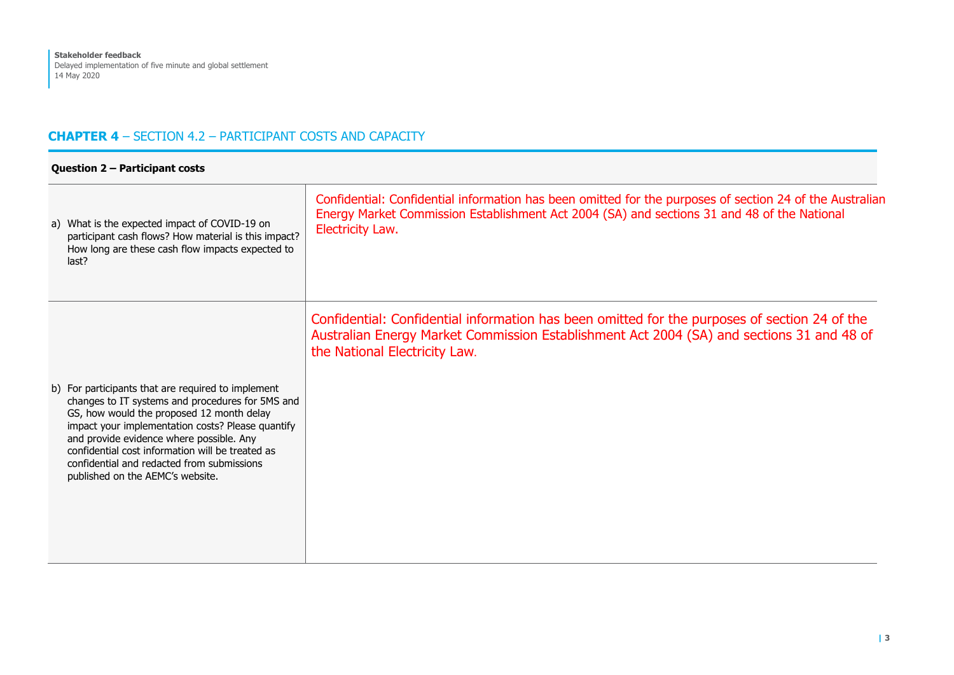# **CHAPTER 4** – SECTION 4.2 – PARTICIPANT COSTS AND CAPACITY

| Question 2 - Participant costs                                                                                                                                                                                                                                                                                                                                                             |                                                                                                                                                                                                                             |  |
|--------------------------------------------------------------------------------------------------------------------------------------------------------------------------------------------------------------------------------------------------------------------------------------------------------------------------------------------------------------------------------------------|-----------------------------------------------------------------------------------------------------------------------------------------------------------------------------------------------------------------------------|--|
| a) What is the expected impact of COVID-19 on<br>participant cash flows? How material is this impact?<br>How long are these cash flow impacts expected to<br>last?                                                                                                                                                                                                                         | Confidential: Confidential information has been omitted for the purposes of section 24 of the Australian<br>Energy Market Commission Establishment Act 2004 (SA) and sections 31 and 48 of the National<br>Electricity Law. |  |
| b) For participants that are required to implement<br>changes to IT systems and procedures for 5MS and<br>GS, how would the proposed 12 month delay<br>impact your implementation costs? Please quantify<br>and provide evidence where possible. Any<br>confidential cost information will be treated as<br>confidential and redacted from submissions<br>published on the AEMC's website. | Confidential: Confidential information has been omitted for the purposes of section 24 of the<br>Australian Energy Market Commission Establishment Act 2004 (SA) and sections 31 and 48 of<br>the National Electricity Law. |  |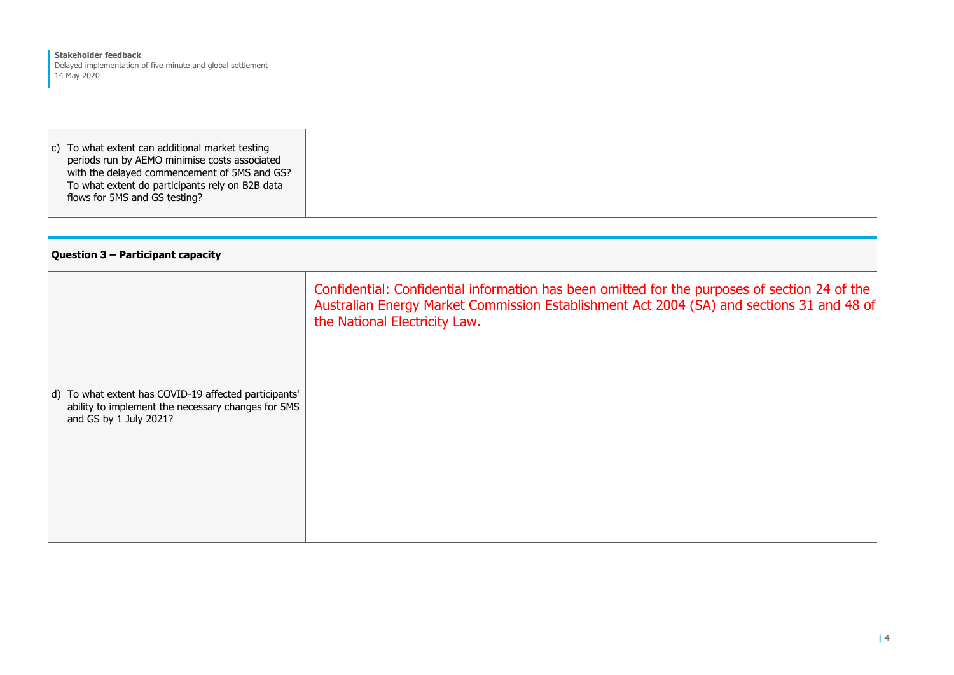c) To what extent can additional market testing periods run by AEMO minimise costs associated with the delayed commencement of 5MS and GS? To what extent do participants rely on B2B data flows for 5MS and GS testing?

#### **Question 3 – Participant capacity**

|                                                                                                                                       | Confidential: Confidential information has been omitted for the purposes of section 24 of the<br>Australian Energy Market Commission Establishment Act 2004 (SA) and sections 31 and 48 of<br>the National Electricity Law. |
|---------------------------------------------------------------------------------------------------------------------------------------|-----------------------------------------------------------------------------------------------------------------------------------------------------------------------------------------------------------------------------|
| d) To what extent has COVID-19 affected participants'<br>ability to implement the necessary changes for 5MS<br>and GS by 1 July 2021? |                                                                                                                                                                                                                             |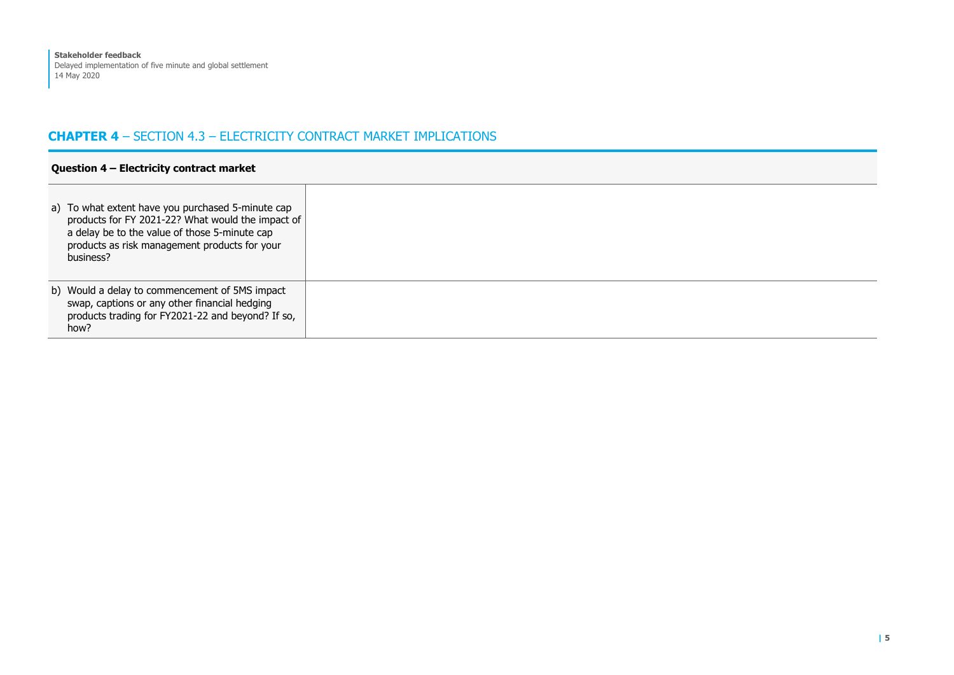## **CHAPTER 4** – SECTION 4.3 – ELECTRICITY CONTRACT MARKET IMPLICATIONS

| Question 4 - Electricity contract market                                                                                                                                                                              |                                                                                                                                                              |  |
|-----------------------------------------------------------------------------------------------------------------------------------------------------------------------------------------------------------------------|--------------------------------------------------------------------------------------------------------------------------------------------------------------|--|
| a) To what extent have you purchased 5-minute cap<br>products for FY 2021-22? What would the impact of<br>a delay be to the value of those 5-minute cap<br>products as risk management products for your<br>business? |                                                                                                                                                              |  |
|                                                                                                                                                                                                                       | b) Would a delay to commencement of 5MS impact<br>swap, captions or any other financial hedging<br>products trading for FY2021-22 and beyond? If so,<br>how? |  |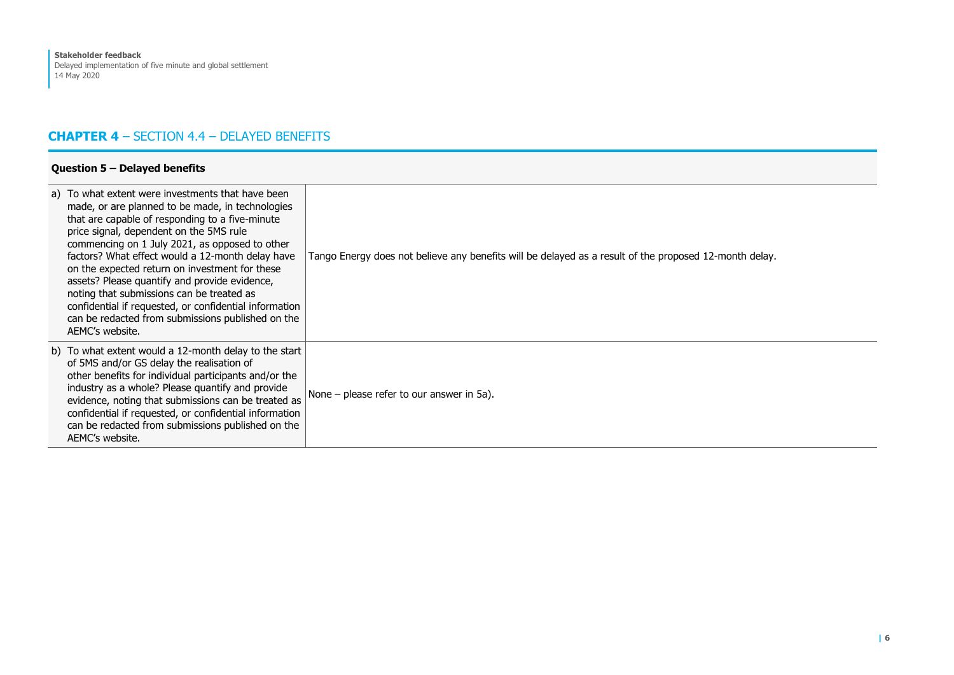# **CHAPTER 4** – SECTION 4.4 – DELAYED BENEFITS

| Question $5$ – Delayed benefits                                                                                                                                                                                                                                                                                                                                                                                                                                                                                                                                                             |                                                                                                        |  |
|---------------------------------------------------------------------------------------------------------------------------------------------------------------------------------------------------------------------------------------------------------------------------------------------------------------------------------------------------------------------------------------------------------------------------------------------------------------------------------------------------------------------------------------------------------------------------------------------|--------------------------------------------------------------------------------------------------------|--|
| a) To what extent were investments that have been<br>made, or are planned to be made, in technologies<br>that are capable of responding to a five-minute<br>price signal, dependent on the 5MS rule<br>commencing on 1 July 2021, as opposed to other<br>factors? What effect would a 12-month delay have<br>on the expected return on investment for these<br>assets? Please quantify and provide evidence,<br>noting that submissions can be treated as<br>confidential if requested, or confidential information<br>can be redacted from submissions published on the<br>AEMC's website. | Tango Energy does not believe any benefits will be delayed as a result of the proposed 12-month delay. |  |
| b) To what extent would a 12-month delay to the start<br>of 5MS and/or GS delay the realisation of<br>other benefits for individual participants and/or the<br>industry as a whole? Please quantify and provide<br>evidence, noting that submissions can be treated as<br>confidential if requested, or confidential information<br>can be redacted from submissions published on the<br>AEMC's website.                                                                                                                                                                                    | None – please refer to our answer in 5a).                                                              |  |